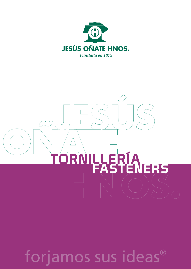



forjamos sus ideas®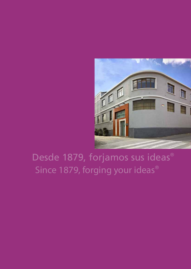

# Desde 1879, forjamos sus ideas® Since 1879, forging your ideas<sup>®</sup>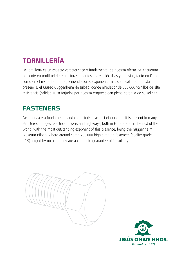## TORNILLERÍA

La Tornillería es un aspecto característico y fundamental de nuestra oferta. Se encuentra presente en multitud de estructuras, puentes, torres eléctricas y autovías, tanto en Europa como en el resto del mundo, teniendo como exponente más sobresaliente de esta presencia, el Museo Guggenheim de Bilbao, donde alrededor de 700.000 tornillos de alta resistencia (calidad 10.9) forjados por nuestra empresa dan plena garantía de su solidez.

### **FASTENERS**

Fasteners are a fundamental and characteristic aspect of our offer. It is present in many structures, bridges, electrical towers and highways, both in Europe and in the rest of the world, with the most outstanding exponent of this presence, being the Guggenheim Museum Bilbao, where around some 700.000 high strength fasteners (quality grade: 10.9) forged by our company are a complete guarantee of its solidity.

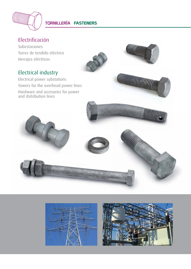

#### Electrificación

Subestaciones Torres de tendido eléctrico Herrajes eléctricos



#### Electrical industry

Electrical power substations Towers for the overhead power lines Hardware and accesories for power and dsitribution lines



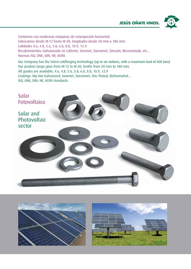

Contamos con modernas máquinas de estampación horizontal. Fabricamos desde M-12 hasta M-30, longitudes desde 20 mm a 180 mm. Calidades 4.6, 4.8, 5.6, 5.8, 6.8, 8.8, 10.9, 12.9. Recubrimientos: Galvanizado en Caliente, Geomet, Dacromet, Zincado, Bicromatado, etc... Normas ISO, UNE, DIN, NF, ASTM.

Our Company has the latest coldforging technology (up to six stations, with a maximum load of 600 tons) Our product range goes from M-12 to M-30, lenths from 20 mm to 180 mm. All grades are available; 4.6, 4.8, 5.6, 5.8, 6.8, 8.8, 10.9, 12.9 Coatings: Dip Hot Galvanized, Geomet, Dacromet, Zinc Plated, Bichromated… ISO, UNE, DIN, NF, ASTM standards.





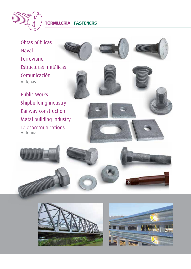

WWW

Obras públicas Naval Ferroviario Estructuras metálicas Comunicación Antenas

Public Works Shipbuilding industry Railway construction Metal building industry Telecommunications Antennas



**CONTINUES** 





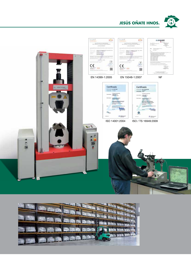